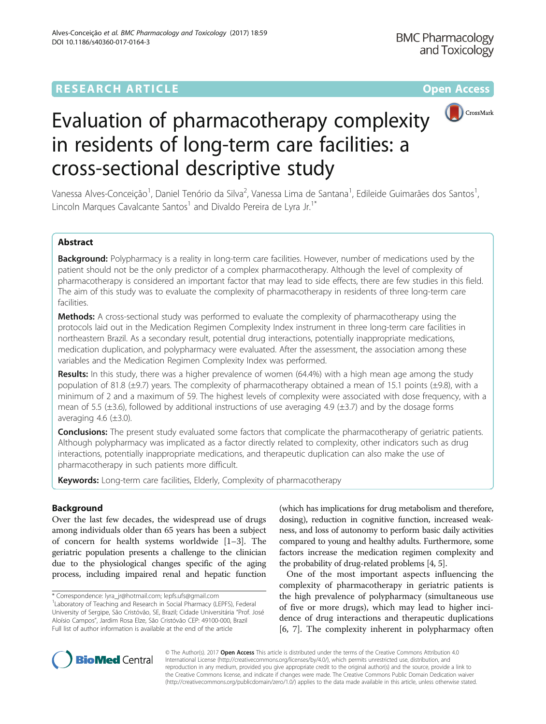## **RESEARCH ARTICLE Example 2014 12:30 The Contract of Contract ACCESS**



# Evaluation of pharmacotherapy complexity in residents of long-term care facilities: a cross-sectional descriptive study

Vanessa Alves-Conceição<sup>1</sup>, Daniel Tenório da Silva<sup>2</sup>, Vanessa Lima de Santana<sup>1</sup>, Edileide Guimarães dos Santos<sup>1</sup> , Lincoln Marques Cavalcante Santos<sup>1</sup> and Divaldo Pereira de Lyra Jr.<sup>1\*</sup>

## Abstract

Background: Polypharmacy is a reality in long-term care facilities. However, number of medications used by the patient should not be the only predictor of a complex pharmacotherapy. Although the level of complexity of pharmacotherapy is considered an important factor that may lead to side effects, there are few studies in this field. The aim of this study was to evaluate the complexity of pharmacotherapy in residents of three long-term care facilities.

**Methods:** A cross-sectional study was performed to evaluate the complexity of pharmacotherapy using the protocols laid out in the Medication Regimen Complexity Index instrument in three long-term care facilities in northeastern Brazil. As a secondary result, potential drug interactions, potentially inappropriate medications, medication duplication, and polypharmacy were evaluated. After the assessment, the association among these variables and the Medication Regimen Complexity Index was performed.

Results: In this study, there was a higher prevalence of women (64.4%) with a high mean age among the study population of 81.8 ( $\pm$ 9.7) years. The complexity of pharmacotherapy obtained a mean of 15.1 points ( $\pm$ 9.8), with a minimum of 2 and a maximum of 59. The highest levels of complexity were associated with dose frequency, with a mean of 5.5 ( $\pm$ 3.6), followed by additional instructions of use averaging 4.9 ( $\pm$ 3.7) and by the dosage forms averaging 4.6  $(\pm 3.0)$ .

**Conclusions:** The present study evaluated some factors that complicate the pharmacotherapy of geriatric patients. Although polypharmacy was implicated as a factor directly related to complexity, other indicators such as drug interactions, potentially inappropriate medications, and therapeutic duplication can also make the use of pharmacotherapy in such patients more difficult.

Keywords: Long-term care facilities, Elderly, Complexity of pharmacotherapy

### Background

Over the last few decades, the widespread use of drugs among individuals older than 65 years has been a subject of concern for health systems worldwide [\[1](#page-6-0)–[3](#page-6-0)]. The geriatric population presents a challenge to the clinician due to the physiological changes specific of the aging process, including impaired renal and hepatic function

\* Correspondence: [lyra\\_jr@hotmail.com](mailto:lyra_jr@hotmail.com); [lepfs.ufs@gmail.com](mailto:lepfs.ufs@gmail.com) <sup>1</sup>

(which has implications for drug metabolism and therefore, dosing), reduction in cognitive function, increased weakness, and loss of autonomy to perform basic daily activities compared to young and healthy adults. Furthermore, some factors increase the medication regimen complexity and the probability of drug-related problems [[4](#page-6-0), [5\]](#page-6-0).

One of the most important aspects influencing the complexity of pharmacotherapy in geriatric patients is the high prevalence of polypharmacy (simultaneous use of five or more drugs), which may lead to higher incidence of drug interactions and therapeutic duplications [[6, 7](#page-6-0)]. The complexity inherent in polypharmacy often



© The Author(s). 2017 **Open Access** This article is distributed under the terms of the Creative Commons Attribution 4.0 International License [\(http://creativecommons.org/licenses/by/4.0/](http://creativecommons.org/licenses/by/4.0/)), which permits unrestricted use, distribution, and reproduction in any medium, provided you give appropriate credit to the original author(s) and the source, provide a link to the Creative Commons license, and indicate if changes were made. The Creative Commons Public Domain Dedication waiver [\(http://creativecommons.org/publicdomain/zero/1.0/](http://creativecommons.org/publicdomain/zero/1.0/)) applies to the data made available in this article, unless otherwise stated.

<sup>&</sup>lt;sup>1</sup> Laboratory of Teaching and Research in Social Pharmacy (LEPFS), Federal University of Sergipe, São Cristóvão, SE, Brazil; Cidade Universitária "Prof. José Aloísio Campos", Jardim Rosa Elze, São Cristóvão CEP: 49100-000, Brazil Full list of author information is available at the end of the article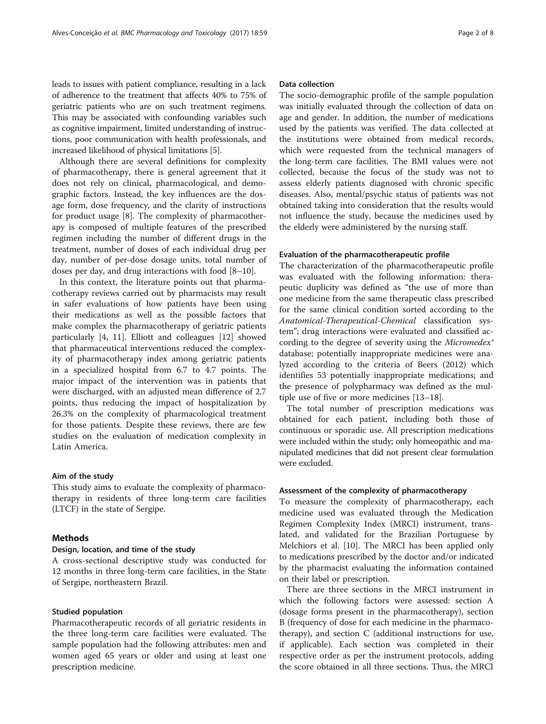leads to issues with patient compliance, resulting in a lack of adherence to the treatment that affects 40% to 75% of geriatric patients who are on such treatment regimens. This may be associated with confounding variables such as cognitive impairment, limited understanding of instructions, poor communication with health professionals, and increased likelihood of physical limitations [\[5\]](#page-6-0).

Although there are several definitions for complexity of pharmacotherapy, there is general agreement that it does not rely on clinical, pharmacological, and demographic factors. Instead, the key influences are the dosage form, dose frequency, and the clarity of instructions for product usage [[8\]](#page-6-0). The complexity of pharmacotherapy is composed of multiple features of the prescribed regimen including the number of different drugs in the treatment, number of doses of each individual drug per day, number of per-dose dosage units, total number of doses per day, and drug interactions with food [\[8](#page-6-0)–[10\]](#page-6-0).

In this context, the literature points out that pharmacotherapy reviews carried out by pharmacists may result in safer evaluations of how patients have been using their medications as well as the possible factors that make complex the pharmacotherapy of geriatric patients particularly [\[4, 11\]](#page-6-0). Elliott and colleagues [\[12\]](#page-6-0) showed that pharmaceutical interventions reduced the complexity of pharmacotherapy index among geriatric patients in a specialized hospital from 6.7 to 4.7 points. The major impact of the intervention was in patients that were discharged, with an adjusted mean difference of 2.7 points, thus reducing the impact of hospitalization by 26.3% on the complexity of pharmacological treatment for those patients. Despite these reviews, there are few studies on the evaluation of medication complexity in Latin America.

#### Aim of the study

This study aims to evaluate the complexity of pharmacotherapy in residents of three long-term care facilities (LTCF) in the state of Sergipe.

#### Methods

#### Design, location, and time of the study

A cross-sectional descriptive study was conducted for 12 months in three long-term care facilities, in the State of Sergipe, northeastern Brazil.

#### Studied population

Pharmacotherapeutic records of all geriatric residents in the three long-term care facilities were evaluated. The sample population had the following attributes: men and women aged 65 years or older and using at least one prescription medicine.

#### Data collection

The socio-demographic profile of the sample population was initially evaluated through the collection of data on age and gender. In addition, the number of medications used by the patients was verified. The data collected at the institutions were obtained from medical records, which were requested from the technical managers of the long-term care facilities. The BMI values were not collected, because the focus of the study was not to assess elderly patients diagnosed with chronic specific diseases. Also, mental/psychic status of patients was not obtained taking into consideration that the results would not influence the study, because the medicines used by the elderly were administered by the nursing staff.

#### Evaluation of the pharmacotherapeutic profile

The characterization of the pharmacotherapeutic profile was evaluated with the following information: therapeutic duplicity was defined as "the use of more than one medicine from the same therapeutic class prescribed for the same clinical condition sorted according to the Anatomical-Therapeutical-Chemical classification system"; drug interactions were evaluated and classified according to the degree of severity using the Micromedex $\degree$ database; potentially inappropriate medicines were analyzed according to the criteria of Beers (2012) which identifies 53 potentially inappropriate medications; and the presence of polypharmacy was defined as the multiple use of five or more medicines [\[13](#page-6-0)–[18\]](#page-6-0).

The total number of prescription medications was obtained for each patient, including both those of continuous or sporadic use. All prescription medications were included within the study; only homeopathic and manipulated medicines that did not present clear formulation were excluded.

#### Assessment of the complexity of pharmacotherapy

To measure the complexity of pharmacotherapy, each medicine used was evaluated through the Medication Regimen Complexity Index (MRCI) instrument, translated, and validated for the Brazilian Portuguese by Melchiors et al. [[10\]](#page-6-0). The MRCI has been applied only to medications prescribed by the doctor and/or indicated by the pharmacist evaluating the information contained on their label or prescription.

There are three sections in the MRCI instrument in which the following factors were assessed: section A (dosage forms present in the pharmacotherapy), section B (frequency of dose for each medicine in the pharmacotherapy), and section C (additional instructions for use, if applicable). Each section was completed in their respective order as per the instrument protocols, adding the score obtained in all three sections. Thus, the MRCI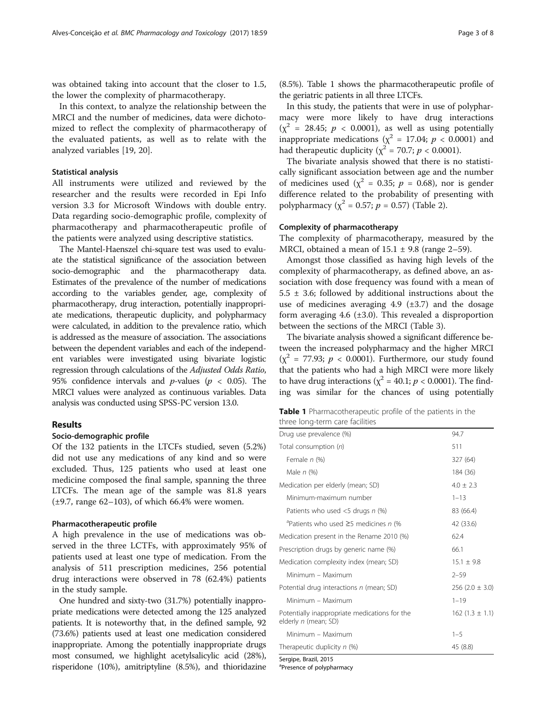was obtained taking into account that the closer to 1.5, the lower the complexity of pharmacotherapy.

In this context, to analyze the relationship between the MRCI and the number of medicines, data were dichotomized to reflect the complexity of pharmacotherapy of the evaluated patients, as well as to relate with the analyzed variables [\[19](#page-6-0), [20\]](#page-6-0).

#### Statistical analysis

All instruments were utilized and reviewed by the researcher and the results were recorded in Epi Info version 3.3 for Microsoft Windows with double entry. Data regarding socio-demographic profile, complexity of pharmacotherapy and pharmacotherapeutic profile of the patients were analyzed using descriptive statistics.

The Mantel-Haenszel chi-square test was used to evaluate the statistical significance of the association between socio-demographic and the pharmacotherapy data. Estimates of the prevalence of the number of medications according to the variables gender, age, complexity of pharmacotherapy, drug interaction, potentially inappropriate medications, therapeutic duplicity, and polypharmacy were calculated, in addition to the prevalence ratio, which is addressed as the measure of association. The associations between the dependent variables and each of the independent variables were investigated using bivariate logistic regression through calculations of the Adjusted Odds Ratio, 95% confidence intervals and *p*-values ( $p < 0.05$ ). The MRCI values were analyzed as continuous variables. Data analysis was conducted using SPSS-PC version 13.0.

#### Results

#### Socio-demographic profile

Of the 132 patients in the LTCFs studied, seven (5.2%) did not use any medications of any kind and so were excluded. Thus, 125 patients who used at least one medicine composed the final sample, spanning the three LTCFs. The mean age of the sample was 81.8 years (±9.7, range 62–103), of which 66.4% were women.

#### Pharmacotherapeutic profile

A high prevalence in the use of medications was observed in the three LCTFs, with approximately 95% of patients used at least one type of medication. From the analysis of 511 prescription medicines, 256 potential drug interactions were observed in 78 (62.4%) patients in the study sample.

One hundred and sixty-two (31.7%) potentially inappropriate medications were detected among the 125 analyzed patients. It is noteworthy that, in the defined sample, 92 (73.6%) patients used at least one medication considered inappropriate. Among the potentially inappropriate drugs most consumed, we highlight acetylsalicylic acid (28%), risperidone (10%), amitriptyline (8.5%), and thioridazine

(8.5%). Table 1 shows the pharmacotherapeutic profile of the geriatric patients in all three LTCFs.

In this study, the patients that were in use of polypharmacy were more likely to have drug interactions  $(\chi^2$  = 28.45;  $p < 0.0001$ ), as well as using potentially inappropriate medications ( $\chi^2$  = 17.04;  $p$  < 0.0001) and had therapeutic duplicity ( $\chi^2$  = 70.7;  $p$  < 0.0001).

The bivariate analysis showed that there is no statistically significant association between age and the number of medicines used ( $\chi^2$  = 0.35;  $p$  = 0.68), nor is gender difference related to the probability of presenting with polypharmacy ( $\chi^2 = 0.57$ ;  $p = 0.57$ ) (Table [2](#page-3-0)).

#### Complexity of pharmacotherapy

The complexity of pharmacotherapy, measured by the MRCI, obtained a mean of  $15.1 \pm 9.8$  (range 2–59).

Amongst those classified as having high levels of the complexity of pharmacotherapy, as defined above, an association with dose frequency was found with a mean of  $5.5 \pm 3.6$ ; followed by additional instructions about the use of medicines averaging  $4.9$  ( $\pm 3.7$ ) and the dosage form averaging 4.6  $(\pm 3.0)$ . This revealed a disproportion between the sections of the MRCI (Table [3\)](#page-3-0).

The bivariate analysis showed a significant difference between the increased polypharmacy and the higher MRCI  $(x^2 = 77.93; p < 0.0001)$ . Furthermore, our study found that the patients who had a high MRCI were more likely to have drug interactions ( $\chi^2$  = 40.1; *p* < 0.0001). The finding was similar for the chances of using potentially

| <b>Table 1</b> Pharmacotherapeutic profile of the patients in the |  |  |  |
|-------------------------------------------------------------------|--|--|--|
| three long-term care facilities                                   |  |  |  |

| Sergipe, Brazil, 2015                                                 |                       |
|-----------------------------------------------------------------------|-----------------------|
| Therapeutic duplicity $n$ (%)                                         | 45 (8.8)              |
| Minimum - Maximum                                                     | $1 - 5$               |
| Potentially inappropriate medications for the<br>elderly n (mean; SD) | $162$ (1.3 $\pm$ 1.1) |
| Minimum – Maximum                                                     | $1 - 19$              |
| Potential drug interactions n (mean; SD)                              | $256(2.0 \pm 3.0)$    |
| Minimum – Maximum                                                     | $2 - 59$              |
| Medication complexity index (mean; SD)                                | $15.1 \pm 9.8$        |
| Prescription drugs by generic name (%)                                | 66.1                  |
| Medication present in the Rename 2010 (%)                             | 62.4                  |
| <sup>a</sup> Patients who used $\geq$ 5 medicines n (%                | 42 (33.6)             |
| Patients who used $<$ 5 drugs n (%)                                   | 83 (66.4)             |
| Minimum-maximum number                                                | $1 - 13$              |
| Medication per elderly (mean; SD)                                     | $4.0 \pm 2.3$         |
| Male $n$ (%)                                                          | 184 (36)              |
| Female $n$ (%)                                                        | 327 (64)              |
| Total consumption (n)                                                 | 511                   |
| Drug use prevalence (%)                                               | 94.7                  |

aPresence of polypharmacy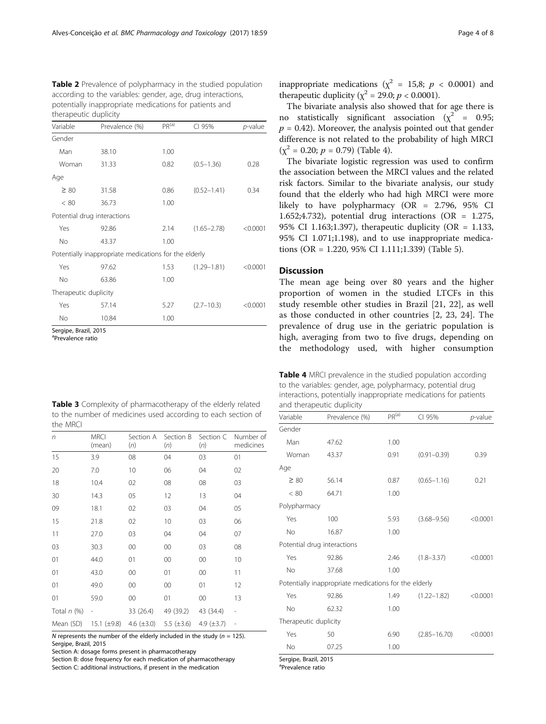<span id="page-3-0"></span>Table 2 Prevalence of polypharmacy in the studied population according to the variables: gender, age, drug interactions, potentially inappropriate medications for patients and therapeutic duplicity

| Variable                                              | Prevalence (%) | PR <sup>(a)</sup> | CI 95%          | $p$ -value |  |
|-------------------------------------------------------|----------------|-------------------|-----------------|------------|--|
| Gender                                                |                |                   |                 |            |  |
| Man                                                   | 38.10          | 1.00              |                 |            |  |
| Woman                                                 | 31.33          | 0.82              | $(0.5 - 1.36)$  | 0.28       |  |
| Age                                                   |                |                   |                 |            |  |
| $\geq 80$                                             | 31.58          | 0.86              | $(0.52 - 1.41)$ | 0.34       |  |
| < 80                                                  | 36.73          | 1.00              |                 |            |  |
| Potential drug interactions                           |                |                   |                 |            |  |
| Yes                                                   | 92.86          | 2.14              | $(1.65 - 2.78)$ | < 0.0001   |  |
| <b>No</b>                                             | 43.37          | 1.00              |                 |            |  |
| Potentially inappropriate medications for the elderly |                |                   |                 |            |  |
| Yes                                                   | 97.62          | 1.53              | $(1.29 - 1.81)$ | < 0.0001   |  |
| <b>No</b>                                             | 63.86          | 1.00              |                 |            |  |
| Therapeutic duplicity                                 |                |                   |                 |            |  |
| Yes                                                   | 57.14          | 5.27              | $(2.7 - 10.3)$  | < 0.0001   |  |
| No                                                    | 10.84          | 1.00              |                 |            |  |

Sergipe, Brazil, 2015

<sup>a</sup>Prevalence ratio

Table 3 Complexity of pharmacotherapy of the elderly related to the number of medicines used according to each section of the MRCI

| $\sqrt{n}$    | <b>MRCI</b><br>(mean)    | Section A<br>(n) | Section B<br>(n) | Section C<br>(n) | Number of<br>medicines |
|---------------|--------------------------|------------------|------------------|------------------|------------------------|
| 15            | 3.9                      | 08               | 04               | 03               | 01                     |
| 20            | 7.0                      | 10               | 06               | 04               | 02                     |
| 18            | 10.4                     | 02               | 08               | 08               | 03                     |
| 30            | 14.3                     | 05               | 12               | 13               | 04                     |
| 09            | 18.1                     | 02               | 03               | 04               | 05                     |
| 15            | 21.8                     | 02               | 10               | 03               | 06                     |
| 11            | 27.0                     | 03               | 04               | 04               | 07                     |
| 03            | 30.3                     | $00\,$           | $00\,$           | 03               | 08                     |
| 01            | 44.0                     | 01               | $00\,$           | $00\,$           | 10                     |
| 01            | 43.0                     | $00\,$           | 01               | $00\,$           | 11                     |
| 01            | 49.0                     | $00\,$           | $00\,$           | 01               | 12                     |
| 01            | 59.0                     | $00\,$           | 01               | 00               | 13                     |
| Total $n$ (%) | $\overline{\phantom{0}}$ | 33 (26.4)        | 49 (39.2)        | 43 (34.4)        |                        |
| Mean (SD)     | 15.1 $(\pm 9.8)$         | 4.6 $(\pm 3.0)$  | 5.5 $(\pm 3.6)$  | 4.9 $(\pm 3.7)$  |                        |

N represents the number of the elderly included in the study ( $n = 125$ ). Sergipe, Brazil, 2015

Section A: dosage forms present in pharmacotherapy

Section B: dose frequency for each medication of pharmacotherapy

Section C: additional instructions, if present in the medication

inappropriate medications ( $\chi^2$  = 15,8;  $p$  < 0.0001) and therapeutic duplicity ( $\chi^2$  = 29.0; *p* < 0.0001).

The bivariate analysis also showed that for age there is no statistically significant association ( $\chi^2$  = 0.95;  $p = 0.42$ ). Moreover, the analysis pointed out that gender difference is not related to the probability of high MRCI  $(\chi^2 = 0.20; p = 0.79)$  (Table 4).

The bivariate logistic regression was used to confirm the association between the MRCI values and the related risk factors. Similar to the bivariate analysis, our study found that the elderly who had high MRCI were more likely to have polypharmacy (OR = 2.796, 95% CI 1.652;4.732), potential drug interactions ( $OR = 1.275$ , 95% CI 1.163;1.397), therapeutic duplicity (OR = 1.133, 95% CI 1.071;1.198), and to use inappropriate medications (OR = 1.220, 95% CI 1.111;1.339) (Table [5\)](#page-4-0).

#### **Discussion**

The mean age being over 80 years and the higher proportion of women in the studied LTCFs in this study resemble other studies in Brazil [[21](#page-6-0), [22](#page-6-0)], as well as those conducted in other countries [\[2](#page-6-0), [23](#page-6-0), [24\]](#page-6-0). The prevalence of drug use in the geriatric population is high, averaging from two to five drugs, depending on the methodology used, with higher consumption

Table 4 MRCI prevalence in the studied population according to the variables: gender, age, polypharmacy, potential drug interactions, potentially inappropriate medications for patients and therapeutic duplicity

| Variable                                              | Prevalence (%)              | PR <sup>(a)</sup> | CI 95%           | $p$ -value |  |
|-------------------------------------------------------|-----------------------------|-------------------|------------------|------------|--|
| Gender                                                |                             |                   |                  |            |  |
| Man                                                   | 47.62                       | 1.00              |                  |            |  |
| Woman                                                 | 43.37                       | 0.91              | $(0.91 - 0.39)$  | 0.39       |  |
| Age                                                   |                             |                   |                  |            |  |
| $\geq 80$                                             | 56.14                       | 0.87              | $(0.65 - 1.16)$  | 0.21       |  |
| < 80                                                  | 64.71                       | 1.00              |                  |            |  |
| Polypharmacy                                          |                             |                   |                  |            |  |
| Yes                                                   | 100                         | 5.93              | $(3.68 - 9.56)$  | < 0.0001   |  |
| <b>No</b>                                             | 16.87                       | 1.00              |                  |            |  |
|                                                       | Potential drug interactions |                   |                  |            |  |
| Yes                                                   | 92.86                       | 2.46              | $(1.8 - 3.37)$   | < 0.0001   |  |
| <b>No</b>                                             | 37.68                       | 1.00              |                  |            |  |
| Potentially inappropriate medications for the elderly |                             |                   |                  |            |  |
| Yes                                                   | 92.86                       | 1.49              | $(1.22 - 1.82)$  | < 0.0001   |  |
| <b>No</b>                                             | 62.32                       | 1.00              |                  |            |  |
| Therapeutic duplicity                                 |                             |                   |                  |            |  |
| Yes                                                   | 50                          | 6.90              | $(2.85 - 16.70)$ | < 0.0001   |  |
| <b>No</b>                                             | 07.25                       | 1.00              |                  |            |  |

Sergipe, Brazil, 2015

a Prevalence ratio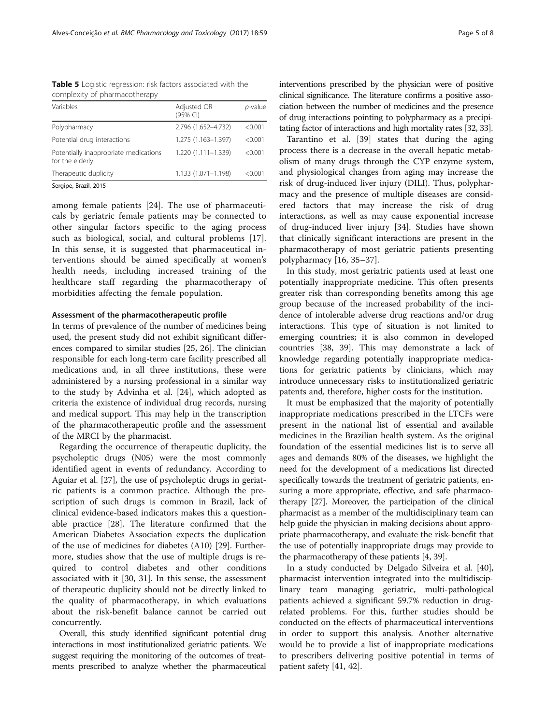<span id="page-4-0"></span>Table 5 Logistic regression: risk factors associated with the complexity of pharmacotherapy

| Variables                                                | Adjusted OR<br>(95% CI) | p-value |
|----------------------------------------------------------|-------------------------|---------|
| Polypharmacy                                             | 2.796 (1.652-4.732)     | < 0.001 |
| Potential drug interactions                              | 1.275 (1.163-1.397)     | < 0.001 |
| Potentially inappropriate medications<br>for the elderly | 1.220 (1.111-1.339)     | < 0.001 |
| Therapeutic duplicity                                    | 1.133 (1.071-1.198)     | < 0.001 |
| Sergipe, Brazil, 2015                                    |                         |         |

Sergipe, Brazil, 2015

among female patients [[24\]](#page-6-0). The use of pharmaceuticals by geriatric female patients may be connected to other singular factors specific to the aging process such as biological, social, and cultural problems [\[17](#page-6-0)]. In this sense, it is suggested that pharmaceutical interventions should be aimed specifically at women's health needs, including increased training of the healthcare staff regarding the pharmacotherapy of morbidities affecting the female population.

#### Assessment of the pharmacotherapeutic profile

In terms of prevalence of the number of medicines being used, the present study did not exhibit significant differences compared to similar studies [\[25](#page-6-0), [26](#page-6-0)]. The clinician responsible for each long-term care facility prescribed all medications and, in all three institutions, these were administered by a nursing professional in a similar way to the study by Advinha et al. [[24\]](#page-6-0), which adopted as criteria the existence of individual drug records, nursing and medical support. This may help in the transcription of the pharmacotherapeutic profile and the assessment of the MRCI by the pharmacist.

Regarding the occurrence of therapeutic duplicity, the psycholeptic drugs (N05) were the most commonly identified agent in events of redundancy. According to Aguiar et al. [[27\]](#page-6-0), the use of psycholeptic drugs in geriatric patients is a common practice. Although the prescription of such drugs is common in Brazil, lack of clinical evidence-based indicators makes this a questionable practice [[28\]](#page-6-0). The literature confirmed that the American Diabetes Association expects the duplication of the use of medicines for diabetes (A10) [[29\]](#page-6-0). Furthermore, studies show that the use of multiple drugs is required to control diabetes and other conditions associated with it [[30, 31](#page-7-0)]. In this sense, the assessment of therapeutic duplicity should not be directly linked to the quality of pharmacotherapy, in which evaluations about the risk-benefit balance cannot be carried out concurrently.

Overall, this study identified significant potential drug interactions in most institutionalized geriatric patients. We suggest requiring the monitoring of the outcomes of treatments prescribed to analyze whether the pharmaceutical interventions prescribed by the physician were of positive clinical significance. The literature confirms a positive association between the number of medicines and the presence of drug interactions pointing to polypharmacy as a precipitating factor of interactions and high mortality rates [[32](#page-7-0), [33\]](#page-7-0).

Tarantino et al. [\[39\]](#page-7-0) states that during the aging process there is a decrease in the overall hepatic metabolism of many drugs through the CYP enzyme system, and physiological changes from aging may increase the risk of drug-induced liver injury (DILI). Thus, polypharmacy and the presence of multiple diseases are considered factors that may increase the risk of drug interactions, as well as may cause exponential increase of drug-induced liver injury [\[34](#page-7-0)]. Studies have shown that clinically significant interactions are present in the pharmacotherapy of most geriatric patients presenting polypharmacy [\[16,](#page-6-0) [35](#page-7-0)–[37\]](#page-7-0).

In this study, most geriatric patients used at least one potentially inappropriate medicine. This often presents greater risk than corresponding benefits among this age group because of the increased probability of the incidence of intolerable adverse drug reactions and/or drug interactions. This type of situation is not limited to emerging countries; it is also common in developed countries [\[38, 39](#page-7-0)]. This may demonstrate a lack of knowledge regarding potentially inappropriate medications for geriatric patients by clinicians, which may introduce unnecessary risks to institutionalized geriatric patents and, therefore, higher costs for the institution.

It must be emphasized that the majority of potentially inappropriate medications prescribed in the LTCFs were present in the national list of essential and available medicines in the Brazilian health system. As the original foundation of the essential medicines list is to serve all ages and demands 80% of the diseases, we highlight the need for the development of a medications list directed specifically towards the treatment of geriatric patients, ensuring a more appropriate, effective, and safe pharmacotherapy [[27](#page-6-0)]. Moreover, the participation of the clinical pharmacist as a member of the multidisciplinary team can help guide the physician in making decisions about appropriate pharmacotherapy, and evaluate the risk-benefit that the use of potentially inappropriate drugs may provide to the pharmacotherapy of these patients [\[4](#page-6-0), [39\]](#page-7-0).

In a study conducted by Delgado Silveira et al. [\[40](#page-7-0)], pharmacist intervention integrated into the multidisciplinary team managing geriatric, multi-pathological patients achieved a significant 59.7% reduction in drugrelated problems. For this, further studies should be conducted on the effects of pharmaceutical interventions in order to support this analysis. Another alternative would be to provide a list of inappropriate medications to prescribers delivering positive potential in terms of patient safety [\[41, 42\]](#page-7-0).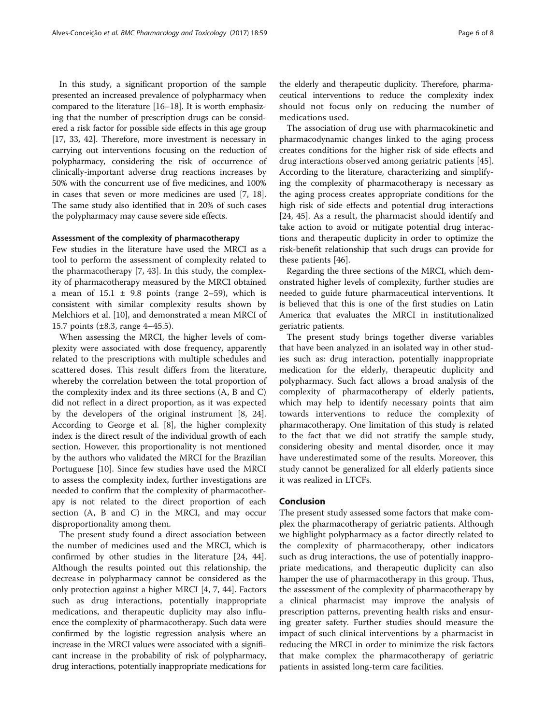In this study, a significant proportion of the sample presented an increased prevalence of polypharmacy when compared to the literature [[16](#page-6-0)–[18](#page-6-0)]. It is worth emphasizing that the number of prescription drugs can be considered a risk factor for possible side effects in this age group [[17](#page-6-0), [33](#page-7-0), [42](#page-7-0)]. Therefore, more investment is necessary in carrying out interventions focusing on the reduction of polypharmacy, considering the risk of occurrence of clinically-important adverse drug reactions increases by 50% with the concurrent use of five medicines, and 100% in cases that seven or more medicines are used [[7](#page-6-0), [18](#page-6-0)]. The same study also identified that in 20% of such cases the polypharmacy may cause severe side effects.

#### Assessment of the complexity of pharmacotherapy

Few studies in the literature have used the MRCI as a tool to perform the assessment of complexity related to the pharmacotherapy [\[7](#page-6-0), [43](#page-7-0)]. In this study, the complexity of pharmacotherapy measured by the MRCI obtained a mean of  $15.1 \pm 9.8$  points (range 2-59), which is consistent with similar complexity results shown by Melchiors et al. [\[10](#page-6-0)], and demonstrated a mean MRCI of 15.7 points (±8.3, range 4–45.5).

When assessing the MRCI, the higher levels of complexity were associated with dose frequency, apparently related to the prescriptions with multiple schedules and scattered doses. This result differs from the literature, whereby the correlation between the total proportion of the complexity index and its three sections (A, B and C) did not reflect in a direct proportion, as it was expected by the developers of the original instrument [[8, 24](#page-6-0)]. According to George et al. [[8\]](#page-6-0), the higher complexity index is the direct result of the individual growth of each section. However, this proportionality is not mentioned by the authors who validated the MRCI for the Brazilian Portuguese [\[10\]](#page-6-0). Since few studies have used the MRCI to assess the complexity index, further investigations are needed to confirm that the complexity of pharmacotherapy is not related to the direct proportion of each section (A, B and C) in the MRCI, and may occur disproportionality among them.

The present study found a direct association between the number of medicines used and the MRCI, which is confirmed by other studies in the literature [[24,](#page-6-0) [44](#page-7-0)]. Although the results pointed out this relationship, the decrease in polypharmacy cannot be considered as the only protection against a higher MRCI [\[4](#page-6-0), [7](#page-6-0), [44\]](#page-7-0). Factors such as drug interactions, potentially inappropriate medications, and therapeutic duplicity may also influence the complexity of pharmacotherapy. Such data were confirmed by the logistic regression analysis where an increase in the MRCI values were associated with a significant increase in the probability of risk of polypharmacy, drug interactions, potentially inappropriate medications for the elderly and therapeutic duplicity. Therefore, pharmaceutical interventions to reduce the complexity index should not focus only on reducing the number of medications used.

The association of drug use with pharmacokinetic and pharmacodynamic changes linked to the aging process creates conditions for the higher risk of side effects and drug interactions observed among geriatric patients [\[45](#page-7-0)]. According to the literature, characterizing and simplifying the complexity of pharmacotherapy is necessary as the aging process creates appropriate conditions for the high risk of side effects and potential drug interactions [[24,](#page-6-0) [45](#page-7-0)]. As a result, the pharmacist should identify and take action to avoid or mitigate potential drug interactions and therapeutic duplicity in order to optimize the risk-benefit relationship that such drugs can provide for these patients [\[46\]](#page-7-0).

Regarding the three sections of the MRCI, which demonstrated higher levels of complexity, further studies are needed to guide future pharmaceutical interventions. It is believed that this is one of the first studies on Latin America that evaluates the MRCI in institutionalized geriatric patients.

The present study brings together diverse variables that have been analyzed in an isolated way in other studies such as: drug interaction, potentially inappropriate medication for the elderly, therapeutic duplicity and polypharmacy. Such fact allows a broad analysis of the complexity of pharmacotherapy of elderly patients, which may help to identify necessary points that aim towards interventions to reduce the complexity of pharmacotherapy. One limitation of this study is related to the fact that we did not stratify the sample study, considering obesity and mental disorder, once it may have underestimated some of the results. Moreover, this study cannot be generalized for all elderly patients since it was realized in LTCFs.

#### Conclusion

The present study assessed some factors that make complex the pharmacotherapy of geriatric patients. Although we highlight polypharmacy as a factor directly related to the complexity of pharmacotherapy, other indicators such as drug interactions, the use of potentially inappropriate medications, and therapeutic duplicity can also hamper the use of pharmacotherapy in this group. Thus, the assessment of the complexity of pharmacotherapy by a clinical pharmacist may improve the analysis of prescription patterns, preventing health risks and ensuring greater safety. Further studies should measure the impact of such clinical interventions by a pharmacist in reducing the MRCI in order to minimize the risk factors that make complex the pharmacotherapy of geriatric patients in assisted long-term care facilities.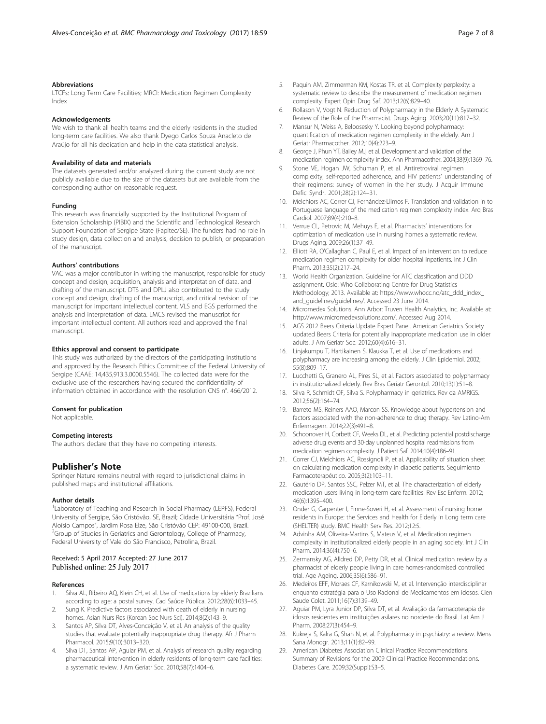#### <span id="page-6-0"></span>Abbreviations

LTCFs: Long Term Care Facilities; MRCI: Medication Regimen Complexity Index

#### Acknowledgements

We wish to thank all health teams and the elderly residents in the studied long-term care facilities. We also thank Dyego Carlos Souza Anacleto de Araújo for all his dedication and help in the data statistical analysis.

#### Availability of data and materials

The datasets generated and/or analyzed during the current study are not publicly available due to the size of the datasets but are available from the corresponding author on reasonable request.

#### Funding

This research was financially supported by the Institutional Program of Extension Scholarship (PIBIX) and the Scientific and Technological Research Support Foundation of Sergipe State (Fapitec/SE). The funders had no role in study design, data collection and analysis, decision to publish, or preparation of the manuscript.

#### Authors' contributions

VAC was a major contributor in writing the manuscript, responsible for study concept and design, acquisition, analysis and interpretation of data, and drafting of the manuscript. DTS and DPLJ also contributed to the study concept and design, drafting of the manuscript, and critical revision of the manuscript for important intellectual content. VLS and EGS performed the analysis and interpretation of data. LMCS revised the manuscript for important intellectual content. All authors read and approved the final manuscript.

#### Ethics approval and consent to participate

This study was authorized by the directors of the participating institutions and approved by the Research Ethics Committee of the Federal University of Sergipe (CAAE: 14,435,913.3.0000.5546). The collected data were for the exclusive use of the researchers having secured the confidentiality of information obtained in accordance with the resolution CNS n°. 466/2012.

#### Consent for publication

Not applicable.

#### Competing interests

The authors declare that they have no competing interests.

#### Publisher's Note

Springer Nature remains neutral with regard to jurisdictional claims in published maps and institutional affiliations.

#### Author details

<sup>1</sup> Laboratory of Teaching and Research in Social Pharmacy (LEPFS), Federal University of Sergipe, São Cristóvão, SE, Brazil; Cidade Universitária "Prof. José Aloísio Campos", Jardim Rosa Elze, São Cristóvão CEP: 49100-000, Brazil. <sup>2</sup> <sup>2</sup>Group of Studies in Geriatrics and Gerontology, College of Pharmacy, Federal University of Vale do São Francisco, Petrolina, Brazil.

#### Received: 5 April 2017 Accepted: 27 June 2017 Published online: 25 July 2017

#### References

- 1. Silva AL, Ribeiro AQ, Klein CH, et al. Use of medications by elderly Brazilians according to age: a postal survey. Cad Saúde Pública. 2012;28(6):1033–45.
- 2. Sung K. Predictive factors associated with death of elderly in nursing homes. Asian Nurs Res (Korean Soc Nurs Sci). 2014;8(2):143–9.
- 3. Santos AP, Silva DT, Alves-Conceição V, et al. An analysis of the quality studies that evaluate potentially inappropriate drug therapy. Afr J Pharm Pharmacol. 2015;9(10):3013–320.
- 4. Silva DT, Santos AP, Aguiar PM, et al. Analysis of research quality regarding pharmaceutical intervention in elderly residents of long-term care facilities: a systematic review. J Am Geriatr Soc. 2010;58(7):1404–6.
- 5. Paquin AM, Zimmerman KM, Kostas TR, et al. Complexity perplexity: a systematic review to describe the measurement of medication regimen complexity. Expert Opin Drug Saf. 2013;12(6):829–40.
- 6. Rollason V, Vogt N. Reduction of Polypharmacy in the Elderly A Systematic Review of the Role of the Pharmacist. Drugs Aging. 2003;20(11):817–32.
- 7. Mansur N, Weiss A, Beloosesky Y. Looking beyond polypharmacy: quantification of medication regimen complexity in the elderly. Am J Geriatr Pharmacother. 2012;10(4):223–9.
- 8. George J, Phun YT, Bailey MJ, et al. Development and validation of the medication regimen complexity index. Ann Pharmacother. 2004;38(9):1369–76.
- Stone VE, Hogan JW, Schuman P, et al. Antiretroviral regimen complexity, self-reported adherence, and HIV patients' understanding of their regimens: survey of women in the her study. J Acquir Immune Defic Syndr. 2001;28(2):124–31.
- 10. Melchiors AC, Correr CJ, Fernández-Llimos F. Translation and validation in to Portuguese language of the medication regimen complexity index. Arq Bras Cardiol. 2007;89(4):210–8.
- 11. Verrue CL, Petrovic M, Mehuys E, et al. Pharmacists' interventions for optimization of medication use in nursing homes a systematic review. Drugs Aging. 2009;26(1):37–49.
- 12. Elliott RA, O'Callaghan C, Paul E, et al. Impact of an intervention to reduce medication regimen complexity for older hospital inpatients. Int J Clin Pharm. 2013;35(2):217–24.
- 13. World Health Organization. Guideline for ATC classification and DDD assignment. Oslo: Who Collaborating Centre for Drug Statistics Methodology; 2013. Available at: [https://www.whocc.no/atc\\_ddd\\_index\\_](https://www.whocc.no/atc_ddd_index_and_guidelines/guidelines/) [and\\_guidelines/guidelines/](https://www.whocc.no/atc_ddd_index_and_guidelines/guidelines/). Accessed 23 June 2014.
- 14. Micromedex Solutions. Ann Arbor: Truven Health Analytics, Inc. Available at: [http://www.micromedexsolutions.com/.](http://www.micromedexsolutions.com/) Accessed Aug 2014.
- 15. AGS 2012 Beers Criteria Update Expert Panel. American Geriatrics Society updated Beers Criteria for potentially inappropriate medication use in older adults. J Am Geriatr Soc. 2012;60(4):616–31.
- 16. Linjakumpu T, Hartikainen S, Klaukka T, et al. Use of medications and polypharmacy are increasing among the elderly. J Clin Epidemiol. 2002; 55(8):809–17.
- 17. Lucchetti G, Granero AL, Pires SL, et al. Factors associated to polypharmacy in institutionalized elderly. Rev Bras Geriatr Gerontol. 2010;13(1):51–8.
- 18. Silva R, Schmidt OF, Silva S. Polypharmacy in geriatrics. Rev da AMRIGS. 2012;56(2):164–74.
- 19. Barreto MS, Reiners AAO, Marcon SS. Knowledge about hypertension and factors associated with the non-adherence to drug therapy. Rev Latino-Am Enfermagem. 2014;22(3):491–8.
- 20. Schoonover H, Corbett CF, Weeks DL, et al. Predicting potential postdischarge adverse drug events and 30-day unplanned hospital readmissions from medication regimen complexity. J Patient Saf. 2014;10(4):186–91.
- 21. Correr CJ, Melchiors AC, Rossignoli P, et al. Applicability of situation sheet on calculating medication complexity in diabetic patients. Seguimiento Farmacoterapéutico. 2005;3(2):103–11.
- 22. Gautério DP, Santos SSC, Pelzer MT, et al. The characterization of elderly medication users living in long-term care facilities. Rev Esc Enferm. 2012; 46(6):1395–400.
- 23. Onder G, Carpenter I, Finne-Soveri H, et al. Assessment of nursing home residents in Europe: the Services and Health for Elderly in Long term care (SHELTER) study. BMC Health Serv Res. 2012;12:5.
- 24. Advinha AM, Oliveira-Martins S, Mateus V, et al. Medication regimen complexity in institutionalized elderly people in an aging society. Int J Clin Pharm. 2014;36(4):750–6.
- 25. Zermansky AG, Alldred DP, Petty DR, et al. Clinical medication review by a pharmacist of elderly people living in care homes-randomised controlled trial. Age Ageing. 2006;35(6):586–91.
- 26. Medeiros EFF, Moraes CF, Karnikowski M, et al. Intervenção interdisciplinar enquanto estratégia para o Uso Racional de Medicamentos em idosos. Cien Saude Colet. 2011;16(7):3139–49.
- 27. Aguiar PM, Lyra Junior DP, Silva DT, et al. Avaliação da farmacoterapia de idosos residentes em instituições asilares no nordeste do Brasil. Lat Am J Pharm. 2008;27(3):454–9.
- 28. Kukreja S, Kalra G, Shah N, et al. Polypharmacy in psychiatry: a review. Mens Sana Monogr. 2013;11(1):82–99.
- 29. American Diabetes Association Clinical Practice Recommendations. Summary of Revisions for the 2009 Clinical Practice Recommendations. Diabetes Care. 2009;32(Suppl):S3–5.